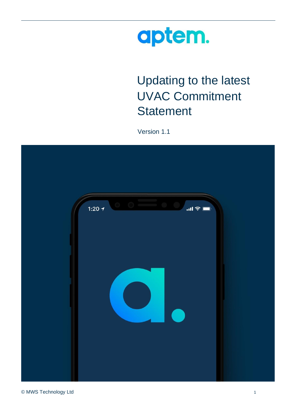

# Updating to the latest UVAC Commitment **Statement**

Version 1.1

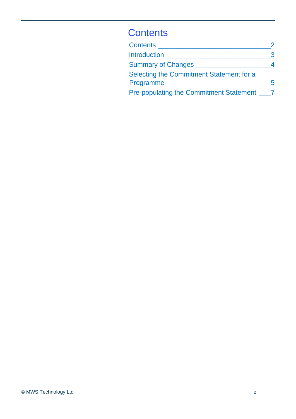## <span id="page-1-0"></span>**Contents**

| Contents _                                     | 2 |
|------------------------------------------------|---|
| <b>Introduction</b>                            | 3 |
| <b>Summary of Changes</b>                      | 4 |
| Selecting the Commitment Statement for a       |   |
| Programme_                                     | 5 |
| <b>Pre-populating the Commitment Statement</b> |   |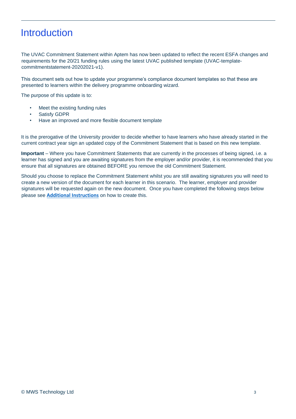### <span id="page-2-0"></span>**Introduction**

The UVAC Commitment Statement within Aptem has now been updated to reflect the recent ESFA changes and requirements for the 20/21 funding rules using the latest UVAC published template (UVAC-templatecommitmentstatement-20202021-v1).

This document sets out how to update your programme's compliance document templates so that these are presented to learners within the delivery programme onboarding wizard.

The purpose of this update is to:

- Meet the existing funding rules
- Satisfy GDPR
- Have an improved and more flexible document template

It is the prerogative of the University provider to decide whether to have learners who have already started in the current contract year sign an updated copy of the Commitment Statement that is based on this new template.

**Important** – Where you have Commitment Statements that are currently in the processes of being signed, i.e. a learner has signed and you are awaiting signatures from the employer and/or provider, it is recommended that you ensure that all signatures are obtained BEFORE you remove the old Commitment Statement.

Should you choose to replace the Commitment Statement whilst you are still awaiting signatures you will need to create a new version of the document for each learner in this scenario. The learner, employer and provider signatures will be requested again on the new document. Once you have completed the following steps below please see **[Additional Instructions](#page-6-1)** on how to create this.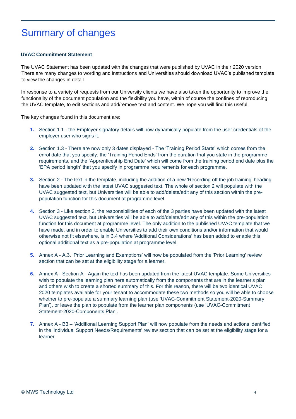### Summary of changes

#### **UVAC Commitment Statement**

The UVAC Statement has been updated with the changes that were published by UVAC in their 2020 version. There are many changes to wording and instructions and Universities should download UVAC's published template to view the changes in detail.

In response to a variety of requests from our University clients we have also taken the opportunity to improve the functionality of the document population and the flexibility you have, within of course the confines of reproducing the UVAC template, to edit sections and add/remove text and content. We hope you will find this useful.

The key changes found in this document are:

- **1.** Section 1.1 the Employer signatory details will now dynamically populate from the user credentials of the employer user who signs it.
- **2.** Section 1.3 There are now only 3 dates displayed The 'Training Period Starts' which comes from the enrol date that you specify, the 'Training Period Ends' from the duration that you state in the programme requirements, and the 'Apprenticeship End Date' which will come from the training period end date plus the 'EPA period length' that you specify in programme requirements for each programme.
- **3.** Section 2 The text in the template, including the addition of a new 'Recording off the job training' heading have been updated with the latest UVAC suggested text. The whole of section 2 will populate with the UVAC suggested text, but Universities will be able to add/delete/edit any of this section within the prepopulation function for this document at programme level.
- **4.** Section 3 Like section 2, the responsibilities of each of the 3 parties have been updated with the latest UVAC suggested text, but Universities will be able to add/delete/edit any of this within the pre-population function for this document at programme level. The only addition to the published UVAC template that we have made, and in order to enable Universities to add their own conditions and/or information that would otherwise not fit elsewhere, is in 3.4 where 'Additional Considerations' has been added to enable this optional additional text as a pre-population at programme level.
- **5.** Annex A A.3. 'Prior Learning and Exemptions' will now be populated from the 'Prior Learning' review section that can be set at the eligibility stage for a learner.
- **6.** Annex A Section A Again the text has been updated from the latest UVAC template. Some Universities wish to populate the learning plan here automatically from the components that are in the learner's plan and others wish to create a shorted summary of this. For this reason, there will be two identical UVAC 2020 templates available for your tenant to accommodate these two methods so you will be able to choose whether to pre-populate a summary learning plan (use 'UVAC-Commitment Statement-2020-Summary Plan'), or leave the plan to populate from the learner plan components (use 'UVAC-Commitment Statement-2020-Components Plan'.
- **7.** Annex A B3 'Additional Learning Support Plan' will now populate from the needs and actions identified in the 'Individual Support Needs/Requirements' review section that can be set at the eligibility stage for a learner.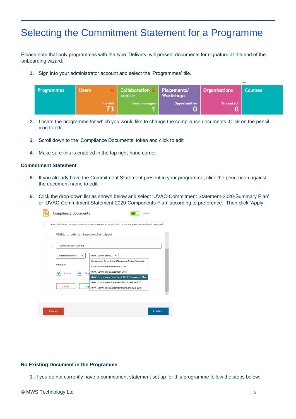### <span id="page-4-0"></span>Selecting the Commitment Statement for a Programme

Please note that only programmes with the type 'Delivery' will present documents for signature at the end of the onboarding wizard.

**1.** Sign into your administrator account and select the 'Programmes' tile.

| <b>Programmes</b> | <b>Users</b>         | <b>Collaboration</b><br>centre | Placements/<br><b>Workshops</b> | <b>Organisations</b> | <b>Courses</b> |
|-------------------|----------------------|--------------------------------|---------------------------------|----------------------|----------------|
|                   | <b>Invited</b><br>フつ | New messages                   | <b>Opportunities</b><br>0       | <b>To contact</b>    |                |

- **2.** Locate the programme for which you would like to change the compliance documents. Click on the pencil icon to edit.
- **3.** Scroll down to the 'Compliance Documents' token and click to edit
- **4.** Make sure this is enabled in the top right-hand corner.

#### **Commitment Statement**

- **5.** If you already have the Commitment Statement present in your programme, click the pencil icon against the document name to edit.
- **6.** Click the drop-down list as shown below and select 'UVAC-Commitment Statement-2020-Summary Plan' or 'UVAC-Commitment Statement-2020-Components Plan' according to preference. Then click 'Apply'.

|                | Visible to: Advisor, Employer, Participant |                                                                                          |  |
|----------------|--------------------------------------------|------------------------------------------------------------------------------------------|--|
| $\overline{2}$ | Commitment Statement                       |                                                                                          |  |
|                | CommitmentState<br>▼                       | UVAC-Commitment ▼                                                                        |  |
|                | Visible to:                                | Deprecated CommitmentStatementCustomSchedule<br>ESFA-CommitmentStatement-2019            |  |
|                | Advisor<br>Emp                             | UVAC-CommitmentStatement-2019<br>UVAC-Commitment-Statement-2020-Components-Plan          |  |
|                | Cancel<br>App                              | UVAC-CommitmentStatementShortSchedule-2017<br>UVAC-CommitmentStatementShortSchedule-2018 |  |
|                |                                            |                                                                                          |  |

#### **No Existing Document in the Programme**

**1.** If you do not currently have a commitment statement set up for this programme follow the steps below: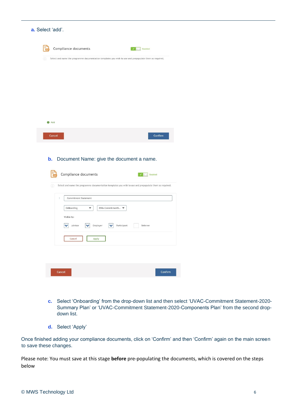| a. Select 'add'. |                                                                                                                                                  |  |
|------------------|--------------------------------------------------------------------------------------------------------------------------------------------------|--|
| 립                | Compliance documents                                                                                                                             |  |
|                  | Enabled                                                                                                                                          |  |
| $\odot$          | Select and name the programme documentation templates you wish to use and prepopulate them as required.                                          |  |
|                  |                                                                                                                                                  |  |
|                  |                                                                                                                                                  |  |
|                  |                                                                                                                                                  |  |
|                  |                                                                                                                                                  |  |
|                  |                                                                                                                                                  |  |
|                  |                                                                                                                                                  |  |
|                  |                                                                                                                                                  |  |
|                  |                                                                                                                                                  |  |
| <b>O</b> Add     |                                                                                                                                                  |  |
|                  |                                                                                                                                                  |  |
|                  | Confirm<br>Cancel                                                                                                                                |  |
|                  |                                                                                                                                                  |  |
| G)               | Compliance documents<br>Enabled<br>PD<br>Select and name the programme documentation templates you wish to use and prepopulate them as required. |  |
|                  | Commitment Statement<br>1                                                                                                                        |  |
|                  |                                                                                                                                                  |  |
|                  | $\blacktriangledown$<br>OnBoarding<br>ESFA-CommitmentS<br>$\blacktriangledown$                                                                   |  |
|                  | Visible to:                                                                                                                                      |  |
|                  | Participant<br>Referrer<br>$\checkmark$<br>Advisor<br>ᢦ<br>Employer<br>$\checkmark$                                                              |  |
|                  |                                                                                                                                                  |  |
|                  | Cancel<br>Apply                                                                                                                                  |  |
|                  |                                                                                                                                                  |  |
|                  |                                                                                                                                                  |  |
|                  |                                                                                                                                                  |  |
|                  | Cancel<br>Confirm                                                                                                                                |  |
|                  |                                                                                                                                                  |  |
|                  |                                                                                                                                                  |  |
|                  |                                                                                                                                                  |  |
|                  |                                                                                                                                                  |  |

- **c.** Select 'Onboarding' from the drop-down list and then select 'UVAC-Commitment Statement-2020- Summary Plan' or 'UVAC-Commitment Statement-2020-Components Plan' from the second dropdown list.
- **d.** Select 'Apply'

Once finished adding your compliance documents, click on 'Confirm' and then 'Confirm' again on the main screen to save these changes.

Please note: You must save at this stage **before** pre-populating the documents, which is covered on the steps below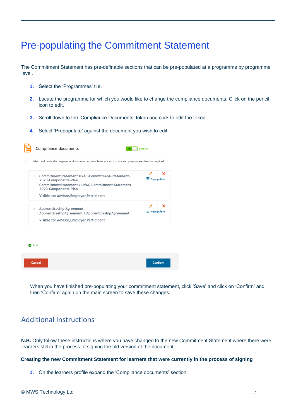### <span id="page-6-0"></span>Pre-populating the Commitment Statement

The Commitment Statement has pre-definable sections that can be pre-populated at a programme by programme level.

- **1.** Select the 'Programmes' tile.
- **2.** Locate the programme for which you would like to change the compliance documents. Click on the pencil icon to edit.
- **3.** Scroll down to the 'Compliance Documents' token and click to edit the token.
- **4.** Select 'Prepopulate' against the document you wish to edit



When you have finished pre-populating your commitment statement, click 'Save' and click on 'Confirm' and then 'Confirm' again on the main screen to save these changes.

### <span id="page-6-1"></span>Additional Instructions

**N.B.** Only follow these instructions where you have changed to the new Commitment Statement where there were learners still in the process of signing the old version of the document.

#### **Creating the new Commitment Statement for learners that were currently in the process of signing**

**1.** On the learners profile expand the 'Compliance documents' section.